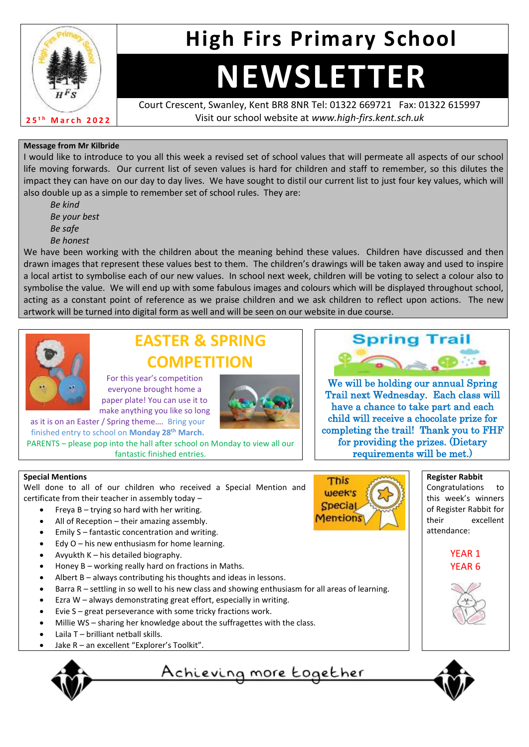

# **High Firs Primary School**

# **NEWSLETTER**

Court Crescent, Swanley, Kent BR8 8NR Tel: 01322 669721 Fax: 01322 615997 Visit our school website at *www.high-firs.kent.sch.uk*

#### **Message from Mr Kilbride**

I would like to introduce to you all this week a revised set of school values that will permeate all aspects of our school life moving forwards. Our current list of seven values is hard for children and staff to remember, so this dilutes the impact they can have on our day to day lives. We have sought to distil our current list to just four key values, which will also double up as a simple to remember set of school rules. They are:

*Be kind Be your best Be safe Be honest*

We have been working with the children about the meaning behind these values. Children have discussed and then drawn images that represent these values best to them. The children's drawings will be taken away and used to inspire a local artist to symbolise each of our new values. In school next week, children will be voting to select a colour also to symbolise the value. We will end up with some fabulous images and colours which will be displayed throughout school, acting as a constant point of reference as we praise children and we ask children to reflect upon actions. The new artwork will be turned into digital form as well and will be seen on our website in due course.



## **EASTER & SPRING COMPETITION**

For this year's competition everyone brought home a paper plate! You can use it to make anything you like so long

as it is on an Easter / Spring theme…. Bring your finished entry to school on **Monday 28th March.**

PARENTS – please pop into the hall after school on Monday to view all our fantastic finished entries.



We will be holding our annual Spring Trail next Wednesday. Each class will have a chance to take part and each child will receive a chocolate prize for completing the trail! Thank you to FHF for providing the prizes. (Dietary requirements will be met.)

#### **Special Mentions**

Well done to all of our children who received a Special Mention and certificate from their teacher in assembly today –

- Freya  $B trying so hard with her writing.$
- All of Reception their amazing assembly.
- Emily S fantastic concentration and writing.
- Edy  $O$  his new enthusiasm for home learning.
- Avyukth K his detailed biography.
- Honey B working really hard on fractions in Maths.
- Albert B always contributing his thoughts and ideas in lessons.
- Barra R settling in so well to his new class and showing enthusiasm for all areas of learning.
- Ezra  $W$  always demonstrating great effort, especially in writing.
- Evie  $S$  great perseverance with some tricky fractions work.
- Millie WS sharing her knowledge about the suffragettes with the class.
- Laila T brilliant netball skills.
- Jake R an excellent "Explorer's Toolkit".





**Register Rabbit** Congratulations to this week's winners of Register Rabbit for their excellent



attendance:





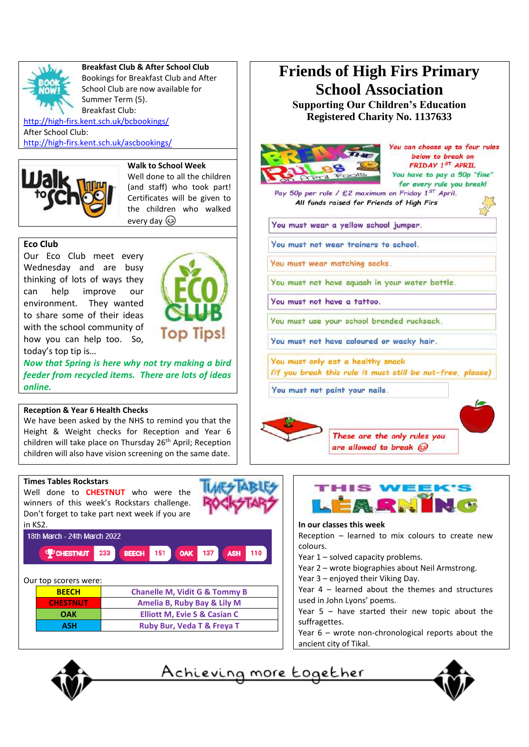

#### **Breakfast Club & After School Club**

Bookings for Breakfast Club and After School Club are now available for Summer Term (5). Breakfast Club:

<http://high-firs.kent.sch.uk/bcbookings/> After School Club: <http://high-firs.kent.sch.uk/ascbookings/>



**Walk to School Week** Well done to all the children (and staff) who took part! Certificates will be given to the children who walked every day  $\circledS$ 

**Top Tips!** 

#### **Eco Club**

Our Eco Club meet every Wednesday and are busy thinking of lots of ways they can help improve our environment. They wanted to share some of their ideas with the school community of how you can help too. So, today's top tip is…

*Now that Spring is here why not try making a bird feeder from recycled items. There are lots of ideas online.* 

#### **Reception & Year 6 Health Checks**

We have been asked by the NHS to remind you that the Height & Weight checks for Reception and Year 6 children will take place on Thursday 26<sup>th</sup> April; Reception children will also have vision screening on the same date.

### **Friends of High Firs Primary School Association Supporting Our Children's Education Registered Charity No. 1137633**

You can choose up to four rules below to break on FRIDAY 1ST APRIL You have to pay a 50p "fine" for every rule you break! Pay 50p per rule / £2 maximum on Friday 1<sup>5T</sup> April. All funds raised for Friends of High Firs You must wear a yellow school jumper. You must not wear trainers to school. You must wear matching socks. You must not have squash in your water bottle. You must not have a tattoo. You must use your school branded rucksack. You must not have coloured or wacky hair. You must only eat a healthy snack (if you break this rule it must still be nut-free, please) You must not paint your nails.



These are the only rules you are allowed to break @





**In our classes this week**

Reception – learned to mix colours to create new colours.

Year 1 – solved capacity problems.

- Year 2 wrote biographies about Neil Armstrong.
- Year 3 enjoyed their Viking Day.

Year 4 – learned about the themes and structures used in John Lyons' poems.

Year 5 – have started their new topic about the suffragettes.

Year 6 – wrote non-chronological reports about the ancient city of Tikal.